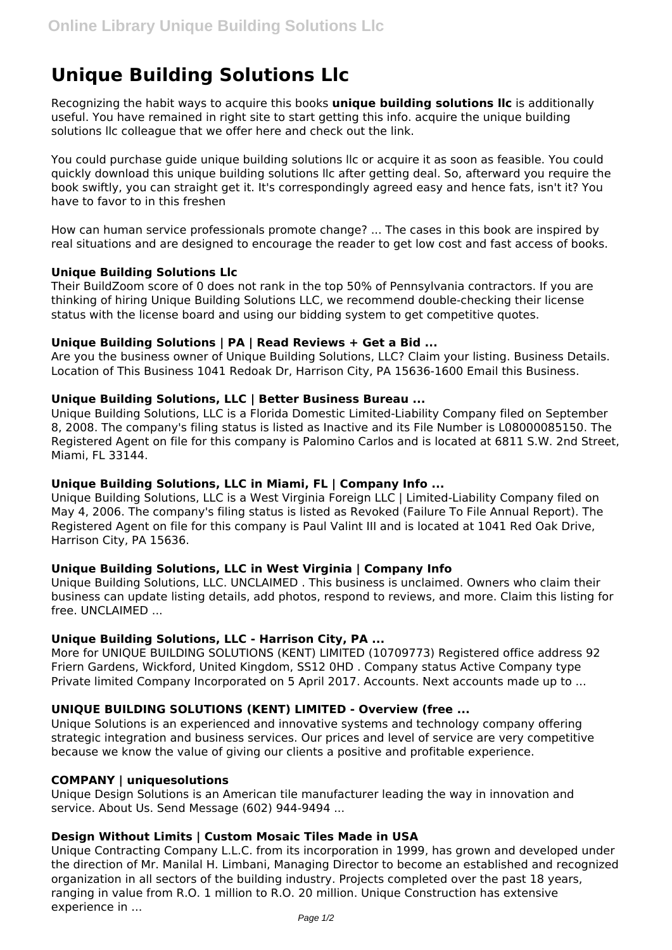# **Unique Building Solutions Llc**

Recognizing the habit ways to acquire this books **unique building solutions llc** is additionally useful. You have remained in right site to start getting this info. acquire the unique building solutions llc colleague that we offer here and check out the link.

You could purchase guide unique building solutions llc or acquire it as soon as feasible. You could quickly download this unique building solutions llc after getting deal. So, afterward you require the book swiftly, you can straight get it. It's correspondingly agreed easy and hence fats, isn't it? You have to favor to in this freshen

How can human service professionals promote change? ... The cases in this book are inspired by real situations and are designed to encourage the reader to get low cost and fast access of books.

#### **Unique Building Solutions Llc**

Their BuildZoom score of 0 does not rank in the top 50% of Pennsylvania contractors. If you are thinking of hiring Unique Building Solutions LLC, we recommend double-checking their license status with the license board and using our bidding system to get competitive quotes.

#### **Unique Building Solutions | PA | Read Reviews + Get a Bid ...**

Are you the business owner of Unique Building Solutions, LLC? Claim your listing. Business Details. Location of This Business 1041 Redoak Dr, Harrison City, PA 15636-1600 Email this Business.

# **Unique Building Solutions, LLC | Better Business Bureau ...**

Unique Building Solutions, LLC is a Florida Domestic Limited-Liability Company filed on September 8, 2008. The company's filing status is listed as Inactive and its File Number is L08000085150. The Registered Agent on file for this company is Palomino Carlos and is located at 6811 S.W. 2nd Street, Miami, FL 33144.

## **Unique Building Solutions, LLC in Miami, FL | Company Info ...**

Unique Building Solutions, LLC is a West Virginia Foreign LLC | Limited-Liability Company filed on May 4, 2006. The company's filing status is listed as Revoked (Failure To File Annual Report). The Registered Agent on file for this company is Paul Valint III and is located at 1041 Red Oak Drive, Harrison City, PA 15636.

#### **Unique Building Solutions, LLC in West Virginia | Company Info**

Unique Building Solutions, LLC. UNCLAIMED . This business is unclaimed. Owners who claim their business can update listing details, add photos, respond to reviews, and more. Claim this listing for free. UNCLAIMED ...

## **Unique Building Solutions, LLC - Harrison City, PA ...**

More for UNIQUE BUILDING SOLUTIONS (KENT) LIMITED (10709773) Registered office address 92 Friern Gardens, Wickford, United Kingdom, SS12 0HD . Company status Active Company type Private limited Company Incorporated on 5 April 2017. Accounts. Next accounts made up to ...

#### **UNIQUE BUILDING SOLUTIONS (KENT) LIMITED - Overview (free ...**

Unique Solutions is an experienced and innovative systems and technology company offering strategic integration and business services. Our prices and level of service are very competitive because we know the value of giving our clients a positive and profitable experience.

#### **COMPANY | uniquesolutions**

Unique Design Solutions is an American tile manufacturer leading the way in innovation and service. About Us. Send Message (602) 944-9494 ...

#### **Design Without Limits | Custom Mosaic Tiles Made in USA**

Unique Contracting Company L.L.C. from its incorporation in 1999, has grown and developed under the direction of Mr. Manilal H. Limbani, Managing Director to become an established and recognized organization in all sectors of the building industry. Projects completed over the past 18 years, ranging in value from R.O. 1 million to R.O. 20 million. Unique Construction has extensive experience in ...